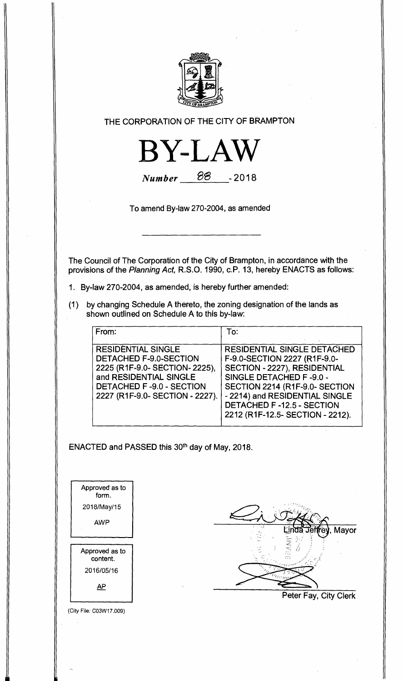

**THE CORPORATION OF THE CITY OF BRAMPTON** 



**Number 88** - 2018

**To amend By-law 270-2004, as amended** 

**The Council of The Corporation of the City of Brampton, in accordance with the provisions of the Planning Act, R.S.O. 1990, c.P. 13, hereby ENACTS as follows:** 

- **1. By-law 270-2004, as amended, is hereby further amended:**
- **(1) by changing Schedule A thereto, the zoning designation of the lands as shown outlined on Schedule A to this by-law:**

| From:                                                                                                                                                                                 | To:                                                                                                                                                                                                                                                                |
|---------------------------------------------------------------------------------------------------------------------------------------------------------------------------------------|--------------------------------------------------------------------------------------------------------------------------------------------------------------------------------------------------------------------------------------------------------------------|
| <b>RESIDENTIAL SINGLE</b><br>DETACHED F-9.0-SECTION<br>2225 (R1F-9.0- SECTION- 2225),<br>and RESIDENTIAL SINGLE<br><b>DETACHED F-9.0 - SECTION</b><br>2227 (R1F-9.0- SECTION - 2227). | <b>RESIDENTIAL SINGLE DETACHED</b><br>F-9.0-SECTION 2227 (R1F-9.0-<br>SECTION - 2227), RESIDENTIAL<br>SINGLE DETACHED F-9.0 -<br>SECTION 2214 (R1F-9.0- SECTION<br>- 2214) and RESIDENTIAL SINGLE<br>DETACHED F-12.5 - SECTION<br>2212 (R1F-12.5- SECTION - 2212). |

ENACTED and PASSED this 30<sup>th</sup> day of May, 2018.

| Approved as to<br>form. |  |
|-------------------------|--|
| 2018/May/15             |  |
| AWP                     |  |
|                         |  |
| Approved as to          |  |
| content.                |  |
| 2016/05/16              |  |

(City File: CO3W17.009)

Mayor **Peter Fay, City Clerk**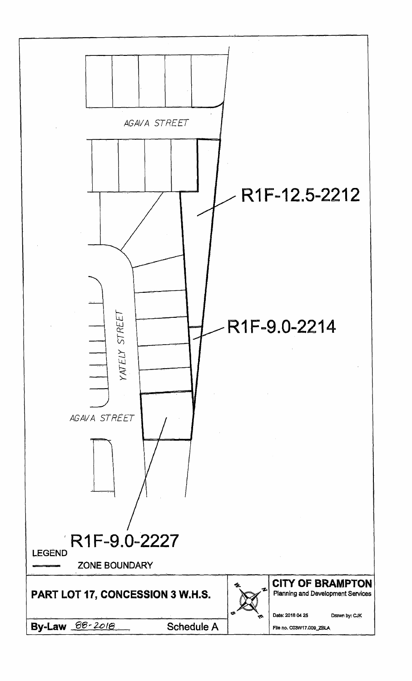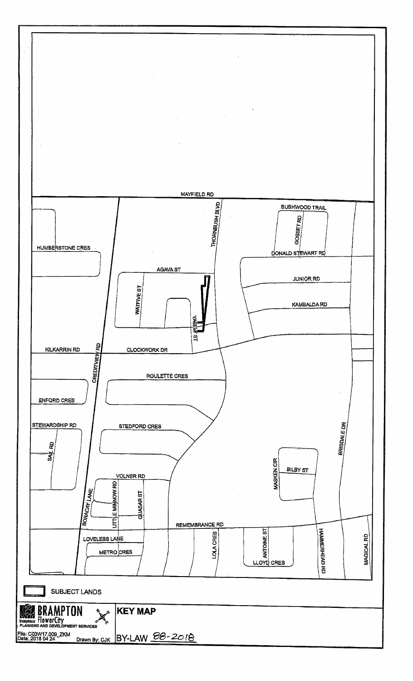